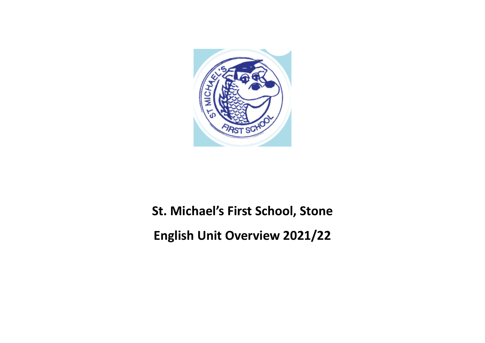

# **St. Michael's First School, Stone**

**English Unit Overview 2021/22**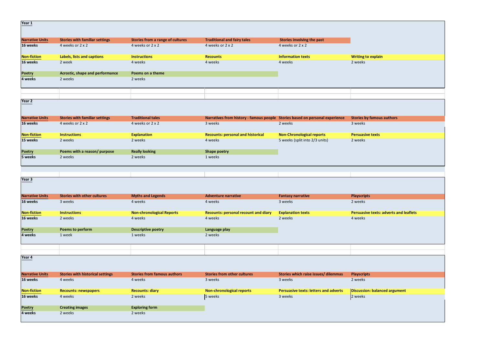| Year 1                 |                                         |                                    |                                                                              |                                              |                                               |
|------------------------|-----------------------------------------|------------------------------------|------------------------------------------------------------------------------|----------------------------------------------|-----------------------------------------------|
|                        |                                         |                                    |                                                                              |                                              |                                               |
| <b>Narrative Units</b> | <b>Stories with familiar settings</b>   | Stories from a range of cultures   | <b>Traditional and fairy tales</b>                                           | Stories involving the past                   |                                               |
| 16 weeks               | 4 weeks or 2 x 2                        | 4 weeks or 2 x 2                   | 4 weeks or 2 x 2                                                             | 4 weeks or 2 x 2                             |                                               |
| <b>Non-fiction</b>     | Labels, lists and captions              | <b>Instructions</b>                | <b>Recounts</b>                                                              | <b>Information texts</b>                     | <b>Writing to explain</b>                     |
| 16 weeks               | 2 week                                  | 4 weeks                            | 4 weeks                                                                      | 4 weeks                                      | 2 weeks                                       |
| Poetry                 | Acrostic, shape and performance         | Poems on a theme                   |                                                                              |                                              |                                               |
| 4 weeks                | 2 weeks                                 | 2 weeks                            |                                                                              |                                              |                                               |
| Year 2                 |                                         |                                    |                                                                              |                                              |                                               |
|                        |                                         |                                    |                                                                              |                                              |                                               |
| <b>Narrative Units</b> | <b>Stories with familiar settings</b>   | <b>Traditional tales</b>           | Narratives from history - famous people Stories based on personal experience |                                              | <b>Stories by famous authors</b>              |
| 16 weeks               | 4 weeks or 2 x 2                        | 4 weeks or 2 x 2                   | 3 weeks                                                                      | 2 weeks                                      | 3 weeks                                       |
| <b>Non-fiction</b>     | <b>Instructions</b>                     | <b>Explanation</b>                 | <b>Recounts: personal and historical</b>                                     | <b>Non-Chronological reports</b>             | <b>Persuasive texts</b>                       |
| 15 weeks               | 2 weeks                                 | 2 weeks                            | 4 weeks                                                                      | 5 weeks (split into 2/3 units)               | 2 weeks                                       |
| <b>Poetry</b>          | Poems with a reason/ purpose            | <b>Really looking</b>              | <b>Shape poetry</b>                                                          |                                              |                                               |
| 5 weeks                | 2 weeks                                 | 2 weeks                            | 1 weeks                                                                      |                                              |                                               |
|                        |                                         |                                    |                                                                              |                                              |                                               |
| Year 3                 |                                         |                                    |                                                                              |                                              |                                               |
| <b>Narrative Units</b> | <b>Stories with other cultures</b>      | <b>Myths and Legends</b>           | <b>Adventure narrative</b>                                                   | <b>Fantasy narrative</b>                     | <b>Playscripts</b>                            |
| 16 weeks               | 3 weeks                                 | 4 weeks                            | 4 weeks                                                                      | 3 weeks                                      | 2 weeks                                       |
| <b>Non-fiction</b>     | <b>Instructions</b>                     | <b>Non-chronological Reports</b>   | <b>Recounts: personal recount and diary</b>                                  | <b>Explanation texts</b>                     | <b>Persuasive texts: adverts and leaflets</b> |
| 16 weeks               | 2 weeks                                 | 4 weeks                            | 4 weeks                                                                      | 2 weeks                                      | 4 weeks                                       |
| Poetry                 | Poems to perform                        | <b>Descriptive poetry</b>          | Language play                                                                |                                              |                                               |
| 4 weeks                | 1 week                                  | 1 weeks                            | 2 weeks                                                                      |                                              |                                               |
|                        |                                         |                                    |                                                                              |                                              |                                               |
| Year 4                 |                                         |                                    |                                                                              |                                              |                                               |
| <b>Narrative Units</b> | <b>Stories with historical settings</b> | <b>Stories from famous authors</b> | <b>Stories from other cultures</b>                                           | Stories which raise issues/dilemmas          | <b>Playscripts</b>                            |
| 16 weeks               | 4 weeks                                 | 4 weeks                            | 3 weeks                                                                      | 3 weeks                                      | 2 weeks                                       |
| <b>Non-fiction</b>     | <b>Recounts: newspapers</b>             | <b>Recounts: diary</b>             | <b>Non-chronological reports</b>                                             | <b>Persuasive texts: letters and adverts</b> | Discussion: balanced argument                 |
| 16 weeks               | 4 weeks                                 | 2 weeks                            | 5 weeks                                                                      | 3 weeks                                      | 2 weeks                                       |
| Poetry                 | <b>Creating images</b>                  | <b>Exploring form</b>              |                                                                              |                                              |                                               |
| 4 weeks                | 2 weeks                                 | 2 weeks                            |                                                                              |                                              |                                               |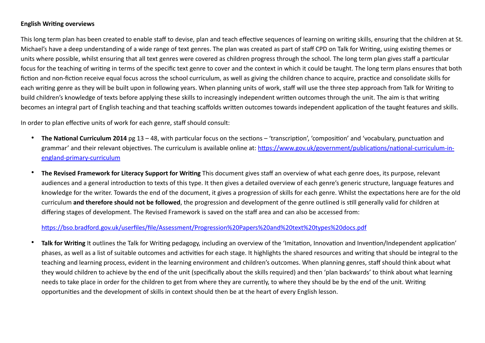#### **English Writing overviews**

This long term plan has been created to enable staff to devise, plan and teach effective sequences of learning on writing skills, ensuring that the children at St. Michael's have a deep understanding of a wide range of text genres. The plan was created as part of staff CPD on Talk for Writing, using existing themes or units where possible, whilst ensuring that all text genres were covered as children progress through the school. The long term plan gives staff a particular focus for the teaching of writing in terms of the specific text genre to cover and the context in which it could be taught. The long term plans ensures that both fiction and non-fiction receive equal focus across the school curriculum, as well as giving the children chance to acquire, practice and consolidate skills for each writing genre as they will be built upon in following years. When planning units of work, staff will use the three step approach from Talk for Writing to build children's knowledge of texts before applying these skills to increasingly independent written outcomes through the unit. The aim is that writing becomes an integral part of English teaching and that teaching scaffolds written outcomes towards independent application of the taught features and skills.

In order to plan effective units of work for each genre, staff should consult:

- **The National Curriculum 2014** pg 13 48, with particular focus on the sections 'transcription', 'composition' and 'vocabulary, punctuation and grammar' and their relevant objectives. The curriculum is available online at: [https://www.gov.uk/government/publications/national-curriculum-in](https://www.gov.uk/government/publications/national-curriculum-in-england-primary-curriculum)[england-primary-curriculum](https://www.gov.uk/government/publications/national-curriculum-in-england-primary-curriculum)
- **The Revised Framework for Literacy Support for Writing** This document gives staff an overview of what each genre does, its purpose, relevant audiences and a general introduction to texts of this type. It then gives a detailed overview of each genre's generic structure, language features and knowledge for the writer. Towards the end of the document, it gives a progression of skills for each genre. Whilst the expectations here are for the old curriculum **and therefore should not be followed**, the progression and development of the genre outlined is still generally valid for children at differing stages of development. The Revised Framework is saved on the staff area and can also be accessed from:

#### [https://bso.bradford.gov.uk/userfiles/file/Assessment/Progression%20Papers%20and%20text%20types%20docs.pdf](https://bso.bradford.gov.uk/userfiles/file/Assessment/Progression%2520Papers%2520and%2520text%2520types%2520docs.pdf)

• **Talk for Writing** It outlines the Talk for Writing pedagogy, including an overview of the 'Imitation, Innovation and Invention/Independent application' phases, as well as a list of suitable outcomes and activities for each stage. It highlights the shared resources and writing that should be integral to the teaching and learning process, evident in the learning environment and children's outcomes. When planning genres, staff should think about what they would children to achieve by the end of the unit (specifically about the skills required) and then 'plan backwards' to think about what learning needs to take place in order for the children to get from where they are currently, to where they should be by the end of the unit. Writing opportunities and the development of skills in context should then be at the heart of every English lesson.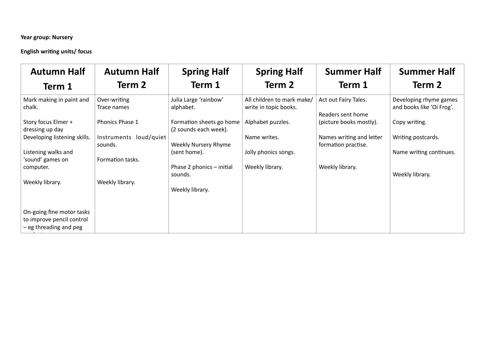#### **Year group: Nursery**

### **English writing units/ focus**

| <b>Autumn Half</b>                                                               | <b>Autumn Half</b>                | <b>Spring Half</b>                                | <b>Spring Half</b>                                  | <b>Summer Half</b>                              | <b>Summer Half</b>                                  |
|----------------------------------------------------------------------------------|-----------------------------------|---------------------------------------------------|-----------------------------------------------------|-------------------------------------------------|-----------------------------------------------------|
| Term 1                                                                           | Term 2                            | Term 1                                            | Term 2                                              | Term 1                                          | Term 2                                              |
| Mark making in paint and<br>chalk.                                               | Over-writing<br>Trace names       | Julia Large 'rainbow'<br>alphabet.                | All children to mark make/<br>write in topic books. | Act out Fairy Tales.<br>Readers sent home       | Developing rhyme games<br>and books like 'Oi Frog'. |
| Story focus Elmer +<br>dressing up day                                           | Phonics Phase 1                   | Formation sheets go home<br>(2 sounds each week). | Alphabet puzzles.                                   | (picture books mostly).                         | Copy writing.                                       |
| Developing listening skills.                                                     | Instruments loud/quiet<br>sounds. | Weekly Nursery Rhyme                              | Name writes.                                        | Names writing and letter<br>formation practise. | Writing postcards.                                  |
| Listening walks and<br>'sound' games on                                          | Formation tasks.                  | (sent home).                                      | Jolly phonics songs.                                |                                                 | Name writing continues.                             |
| computer.                                                                        |                                   | Phase 2 phonics - initial<br>sounds.              | Weekly library.                                     | Weekly library.                                 | Weekly library.                                     |
| Weekly library.                                                                  | Weekly library.                   | Weekly library.                                   |                                                     |                                                 |                                                     |
| On-going fine motor tasks<br>to improve pencil control<br>- eg threading and peg |                                   |                                                   |                                                     |                                                 |                                                     |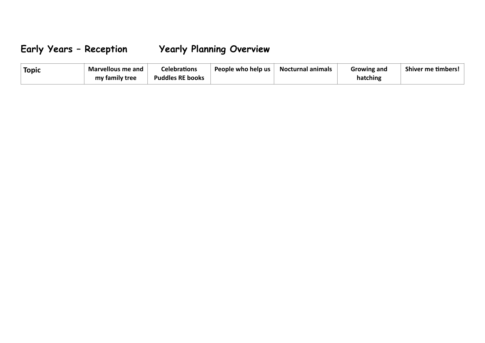## **Early Years – Reception Yearly Planning Overview**

| <b>Topic</b> | Marvellous me and | Celebrations            | People who help us | <b>Nocturnal animals</b> | Growing and | <b>Shiver me timbers!</b> |
|--------------|-------------------|-------------------------|--------------------|--------------------------|-------------|---------------------------|
|              | my family tree    | <b>Puddles RE books</b> |                    |                          | hatching    |                           |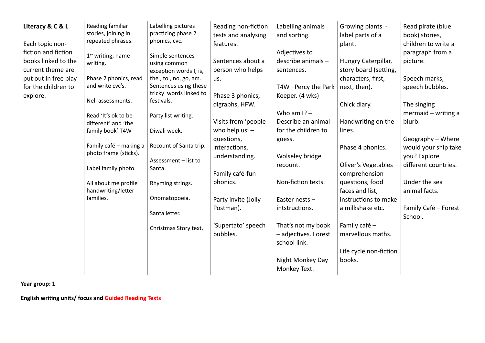| Literacy & C & L<br>Each topic non-<br>fiction and fiction<br>books linked to the<br>current theme are<br>put out in free play<br>for the children to<br>explore. | Reading familiar<br>stories, joining in<br>repeated phrases.<br>1 <sup>st</sup> writing, name<br>writing.<br>Phase 2 phonics, read<br>and write cvc's.<br>Neli assessments.<br>Read 'It's ok to be<br>different' and 'the<br>family book' T4W<br>Family café - making a<br>photo frame (sticks).<br>Label family photo.<br>All about me profile<br>handwriting/letter<br>families. | Labelling pictures<br>practicing phase 2<br>phonics, cvc.<br>Simple sentences<br>using common<br>exception words I, is,<br>the, to, no, go, am.<br>Sentences using these<br>tricky words linked to<br>festivals.<br>Party list writing.<br>Diwali week.<br>Recount of Santa trip.<br>Assessment - list to<br>Santa.<br>Rhyming strings.<br>Onomatopoeia.<br>Santa letter.<br>Christmas Story text. | Reading non-fiction<br>tests and analysing<br>features.<br>Sentences about a<br>person who helps<br>us.<br>Phase 3 phonics,<br>digraphs, HFW.<br>Visits from 'people<br>who help $us'$ –<br>questions,<br>interactions,<br>understanding.<br>Family café-fun<br>phonics.<br>Party invite (Jolly<br>Postman).<br>'Supertato' speech<br>bubbles. | Labelling animals<br>and sorting.<br>Adjectives to<br>describe animals-<br>sentences.<br>T4W - Percy the Park<br>Keeper. (4 wks)<br>Who am $1? -$<br>Describe an animal<br>for the children to<br>guess.<br>Wolseley bridge<br>recount.<br>Non-fiction texts.<br>Easter nests -<br>intstructions.<br>That's not my book<br>- adjectives. Forest<br>school link.<br>Night Monkey Day | Growing plants -<br>label parts of a<br>plant.<br>Hungry Caterpillar,<br>story board (setting,<br>characters, first,<br>next, then).<br>Chick diary.<br>Handwriting on the<br>lines.<br>Phase 4 phonics.<br>Oliver's Vegetables-<br>comprehension<br>questions, food<br>faces and list,<br>instructions to make<br>a milkshake etc.<br>Family café -<br>marvellous maths.<br>Life cycle non-fiction<br>books. | Read pirate (blue<br>book) stories,<br>children to write a<br>paragraph from a<br>picture.<br>Speech marks,<br>speech bubbles.<br>The singing<br>mermaid $-$ writing a<br>blurb.<br>Geography - Where<br>would your ship take<br>you? Explore<br>different countries.<br>Under the sea<br>animal facts.<br>Family Café - Forest<br>School. |
|-------------------------------------------------------------------------------------------------------------------------------------------------------------------|------------------------------------------------------------------------------------------------------------------------------------------------------------------------------------------------------------------------------------------------------------------------------------------------------------------------------------------------------------------------------------|----------------------------------------------------------------------------------------------------------------------------------------------------------------------------------------------------------------------------------------------------------------------------------------------------------------------------------------------------------------------------------------------------|------------------------------------------------------------------------------------------------------------------------------------------------------------------------------------------------------------------------------------------------------------------------------------------------------------------------------------------------|-------------------------------------------------------------------------------------------------------------------------------------------------------------------------------------------------------------------------------------------------------------------------------------------------------------------------------------------------------------------------------------|---------------------------------------------------------------------------------------------------------------------------------------------------------------------------------------------------------------------------------------------------------------------------------------------------------------------------------------------------------------------------------------------------------------|--------------------------------------------------------------------------------------------------------------------------------------------------------------------------------------------------------------------------------------------------------------------------------------------------------------------------------------------|
|                                                                                                                                                                   |                                                                                                                                                                                                                                                                                                                                                                                    |                                                                                                                                                                                                                                                                                                                                                                                                    |                                                                                                                                                                                                                                                                                                                                                | Monkey Text.                                                                                                                                                                                                                                                                                                                                                                        |                                                                                                                                                                                                                                                                                                                                                                                                               |                                                                                                                                                                                                                                                                                                                                            |
|                                                                                                                                                                   |                                                                                                                                                                                                                                                                                                                                                                                    |                                                                                                                                                                                                                                                                                                                                                                                                    |                                                                                                                                                                                                                                                                                                                                                |                                                                                                                                                                                                                                                                                                                                                                                     |                                                                                                                                                                                                                                                                                                                                                                                                               |                                                                                                                                                                                                                                                                                                                                            |

**Year group: 1**

**English writing units/ focus and Guided Reading Texts**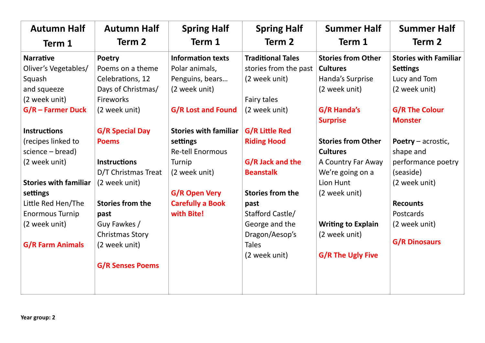| <b>Autumn Half</b>           | <b>Autumn Half</b>      | <b>Spring Half</b>           | <b>Spring Half</b>       | <b>Summer Half</b>        | <b>Summer Half</b>           |
|------------------------------|-------------------------|------------------------------|--------------------------|---------------------------|------------------------------|
| Term 1                       | Term 2                  | Term 1                       | Term 2                   | Term 1                    | Term 2                       |
| <b>Narrative</b>             | Poetry                  | <b>Information texts</b>     | <b>Traditional Tales</b> | <b>Stories from Other</b> | <b>Stories with Familiar</b> |
| Oliver's Vegetables/         | Poems on a theme        | Polar animals,               | stories from the past    | <b>Cultures</b>           | <b>Settings</b>              |
| Squash                       | Celebrations, 12        | Penguins, bears              | (2 week unit)            | Handa's Surprise          | Lucy and Tom                 |
| and squeeze                  | Days of Christmas/      | (2 week unit)                |                          | (2 week unit)             | (2 week unit)                |
| (2 week unit)                | <b>Fireworks</b>        |                              | Fairy tales              |                           |                              |
| $G/R$ – Farmer Duck          | (2 week unit)           | <b>G/R Lost and Found</b>    | (2 week unit)            | G/R Handa's               | <b>G/R The Colour</b>        |
|                              |                         |                              |                          | <b>Surprise</b>           | <b>Monster</b>               |
| <b>Instructions</b>          | <b>G/R Special Day</b>  | <b>Stories with familiar</b> | <b>G/R Little Red</b>    |                           |                              |
| (recipes linked to           | <b>Poems</b>            | settings                     | <b>Riding Hood</b>       | <b>Stories from Other</b> | Poetry $-$ acrostic,         |
| $science - bread)$           |                         | <b>Re-tell Enormous</b>      |                          | <b>Cultures</b>           | shape and                    |
| (2 week unit)                | <b>Instructions</b>     | Turnip                       | G/R Jack and the         | A Country Far Away        | performance poetry           |
|                              | D/T Christmas Treat     | (2 week unit)                | <b>Beanstalk</b>         | We're going on a          | (seaside)                    |
| <b>Stories with familiar</b> | (2 week unit)           |                              |                          | Lion Hunt                 | (2 week unit)                |
| settings                     |                         | <b>G/R Open Very</b>         | <b>Stories from the</b>  | (2 week unit)             |                              |
| Little Red Hen/The           | <b>Stories from the</b> | <b>Carefully a Book</b>      | past                     |                           | <b>Recounts</b>              |
| <b>Enormous Turnip</b>       | past                    | with Bite!                   | Stafford Castle/         |                           | Postcards                    |
| (2 week unit)                | Guy Fawkes /            |                              | George and the           | <b>Writing to Explain</b> | (2 week unit)                |
|                              | Christmas Story         |                              | Dragon/Aesop's           | (2 week unit)             |                              |
| <b>G/R Farm Animals</b>      | (2 week unit)           |                              | <b>Tales</b>             |                           | <b>G/R Dinosaurs</b>         |
|                              |                         |                              | (2 week unit)            | <b>G/R The Ugly Five</b>  |                              |
|                              | <b>G/R Senses Poems</b> |                              |                          |                           |                              |
|                              |                         |                              |                          |                           |                              |
|                              |                         |                              |                          |                           |                              |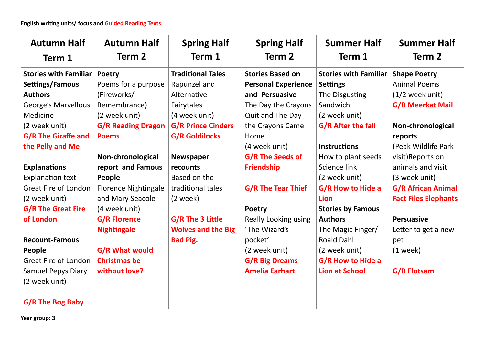| <b>Autumn Half</b><br>Term 1 | <b>Autumn Half</b><br>Term 2 | <b>Spring Half</b><br>Term 1 | <b>Spring Half</b><br>Term 2 | <b>Summer Half</b><br>Term 1 | <b>Summer Half</b><br>Term 2 |
|------------------------------|------------------------------|------------------------------|------------------------------|------------------------------|------------------------------|
| <b>Stories with Familiar</b> | <b>Poetry</b>                | <b>Traditional Tales</b>     | <b>Stories Based on</b>      | <b>Stories with Familiar</b> | <b>Shape Poetry</b>          |
| Settings/Famous              | Poems for a purpose          | Rapunzel and                 | <b>Personal Experience</b>   | <b>Settings</b>              | <b>Animal Poems</b>          |
| <b>Authors</b>               | (Fireworks/                  | Alternative                  | and Persuasive               | The Disgusting               | $(1/2$ week unit)            |
| <b>George's Marvellous</b>   | Remembrance)                 | Fairytales                   | The Day the Crayons          | Sandwich                     | <b>G/R Meerkat Mail</b>      |
| Medicine                     | (2 week unit)                | (4 week unit)                | Quit and The Day             | (2 week unit)                |                              |
| (2 week unit)                | <b>G/R Reading Dragon</b>    | <b>G/R Prince Cinders</b>    | the Crayons Came             | <b>G/R After the fall</b>    | Non-chronological            |
| <b>G/R The Giraffe and</b>   | <b>Poems</b>                 | <b>G/R Goldilocks</b>        | Home                         |                              | reports                      |
| the Pelly and Me             |                              |                              | (4 week unit)                | <b>Instructions</b>          | (Peak Wildlife Park          |
|                              | Non-chronological            | Newspaper                    | <b>G/R The Seeds of</b>      | How to plant seeds           | visit)Reports on             |
| <b>Explanations</b>          | report and Famous            | recounts                     | <b>Friendship</b>            | Science link                 | animals and visit            |
| <b>Explanation text</b>      | People                       | Based on the                 |                              | (2 week unit)                | (3 week unit)                |
| <b>Great Fire of London</b>  | <b>Florence Nightingale</b>  | traditional tales            | <b>G/R The Tear Thief</b>    | <b>G/R How to Hide a</b>     | <b>G/R African Animal</b>    |
| (2 week unit)                | and Mary Seacole             | $(2$ week)                   |                              | <b>Lion</b>                  | <b>Fact Files Elephants</b>  |
| <b>G/R The Great Fire</b>    | (4 week unit)                |                              | <b>Poetry</b>                | <b>Stories by Famous</b>     |                              |
| of London                    | <b>G/R Florence</b>          | G/R The 3 Little             | <b>Really Looking using</b>  | <b>Authors</b>               | <b>Persuasive</b>            |
|                              | <b>Nightingale</b>           | <b>Wolves and the Big</b>    | 'The Wizard's                | The Magic Finger/            | Letter to get a new          |
| <b>Recount-Famous</b>        |                              | <b>Bad Pig.</b>              | pocket'                      | <b>Roald Dahl</b>            | pet                          |
| People                       | <b>G/R What would</b>        |                              | (2 week unit)                | (2 week unit)                | $(1$ week)                   |
| <b>Great Fire of London</b>  | <b>Christmas be</b>          |                              | <b>G/R Big Dreams</b>        | <b>G/R How to Hide a</b>     |                              |
| <b>Samuel Pepys Diary</b>    | without love?                |                              | <b>Amelia Earhart</b>        | <b>Lion at School</b>        | <b>G/R Flotsam</b>           |
| (2 week unit)                |                              |                              |                              |                              |                              |
| G/R The Bog Baby             |                              |                              |                              |                              |                              |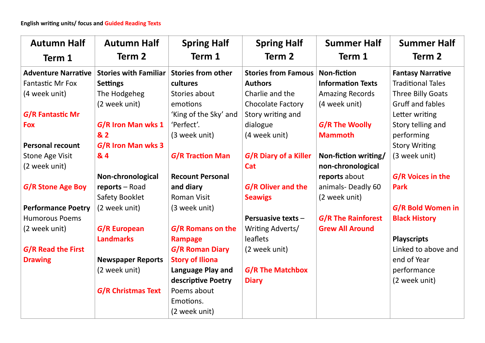| <b>Autumn Half</b>         | <b>Autumn Half</b>           | <b>Spring Half</b>        | <b>Spring Half</b>         | <b>Summer Half</b>        | <b>Summer Half</b>       |
|----------------------------|------------------------------|---------------------------|----------------------------|---------------------------|--------------------------|
| Term 1                     | Term <sub>2</sub>            | Term 1                    | Term 2                     | Term 1                    | Term 2                   |
| <b>Adventure Narrative</b> | <b>Stories with Familiar</b> | <b>Stories from other</b> | <b>Stories from Famous</b> | <b>Non-fiction</b>        | <b>Fantasy Narrative</b> |
| <b>Fantastic Mr Fox</b>    | <b>Settings</b>              | cultures                  | <b>Authors</b>             | <b>Information Texts</b>  | <b>Traditional Tales</b> |
| (4 week unit)              | The Hodgeheg                 | Stories about             | Charlie and the            | <b>Amazing Records</b>    | <b>Three Billy Goats</b> |
|                            | (2 week unit)                | emotions                  | Chocolate Factory          | (4 week unit)             | <b>Gruff and fables</b>  |
| G/R Fantastic Mr           |                              | 'King of the Sky' and     | Story writing and          |                           | Letter writing           |
| <b>Fox</b>                 | G/R Iron Man wks 1           | 'Perfect'.                | dialogue                   | <b>G/R The Woolly</b>     | Story telling and        |
|                            | & 2                          | (3 week unit)             | (4 week unit)              | <b>Mammoth</b>            | performing               |
| <b>Personal recount</b>    | G/R Iron Man wks 3           |                           |                            |                           | <b>Story Writing</b>     |
| <b>Stone Age Visit</b>     | & 4                          | <b>G/R Traction Man</b>   | G/R Diary of a Killer      | Non-fiction writing/      | (3 week unit)            |
| (2 week unit)              |                              |                           | Cat                        | non-chronological         |                          |
|                            | Non-chronological            | <b>Recount Personal</b>   |                            | reports about             | G/R Voices in the        |
| <b>G/R Stone Age Boy</b>   | reports - Road               | and diary                 | <b>G/R Oliver and the</b>  | animals-Deadly 60         | <b>Park</b>              |
|                            | Safety Booklet               | <b>Roman Visit</b>        | <b>Seawigs</b>             | (2 week unit)             |                          |
| <b>Performance Poetry</b>  | (2 week unit)                | (3 week unit)             |                            |                           | G/R Bold Women in        |
| <b>Humorous Poems</b>      |                              |                           | Persuasive texts -         | <b>G/R The Rainforest</b> | <b>Black History</b>     |
| (2 week unit)              | G/R European                 | G/R Romans on the         | Writing Adverts/           | <b>Grew All Around</b>    |                          |
|                            | <b>Landmarks</b>             | <b>Rampage</b>            | leaflets                   |                           | <b>Playscripts</b>       |
| G/R Read the First         |                              | <b>G/R Roman Diary</b>    | (2 week unit)              |                           | Linked to above and      |
| <b>Drawing</b>             | <b>Newspaper Reports</b>     | <b>Story of Iliona</b>    |                            |                           | end of Year              |
|                            | (2 week unit)                | Language Play and         | <b>G/R The Matchbox</b>    |                           | performance              |
|                            |                              | descriptive Poetry        | <b>Diary</b>               |                           | (2 week unit)            |
|                            | <b>G/R Christmas Text</b>    | Poems about               |                            |                           |                          |
|                            |                              | Emotions.                 |                            |                           |                          |
|                            |                              | (2 week unit)             |                            |                           |                          |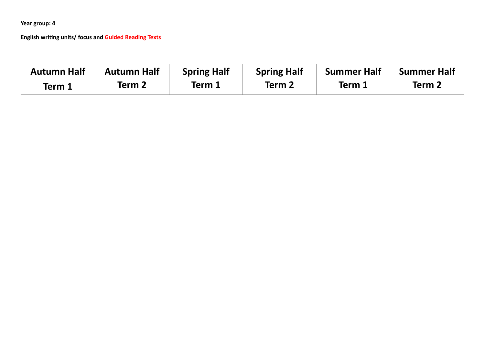**Year group: 4**

**English writing units/ focus and Guided Reading Texts**

| <b>Autumn Half</b> | <b>Autumn Half</b> | <b>Spring Half</b> | <b>Spring Half</b> | <b>Summer Half</b> | <b>Summer Half</b> |
|--------------------|--------------------|--------------------|--------------------|--------------------|--------------------|
| Term 1             | Term 2             | Term 1             | Term 2             | Term               | Term 2             |